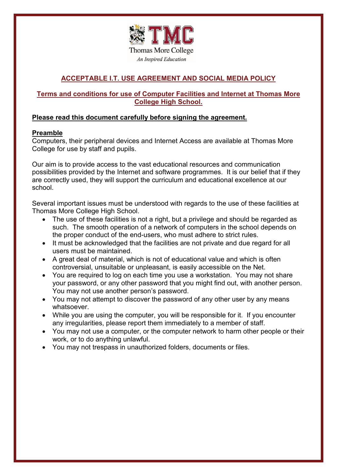

# **ACCEPTABLE I.T. USE AGREEMENT AND SOCIAL MEDIA POLICY**

# **Terms and conditions for use of Computer Facilities and Internet at Thomas More College High School.**

# **Please read this document carefully before signing the agreement.**

# **Preamble**

Computers, their peripheral devices and Internet Access are available at Thomas More College for use by staff and pupils.

Our aim is to provide access to the vast educational resources and communication possibilities provided by the Internet and software programmes. It is our belief that if they are correctly used, they will support the curriculum and educational excellence at our school.

Several important issues must be understood with regards to the use of these facilities at Thomas More College High School.

- The use of these facilities is not a right, but a privilege and should be regarded as such. The smooth operation of a network of computers in the school depends on the proper conduct of the end-users, who must adhere to strict rules.
- It must be acknowledged that the facilities are not private and due regard for all users must be maintained.
- A great deal of material, which is not of educational value and which is often controversial, unsuitable or unpleasant, is easily accessible on the Net.
- You are required to log on each time you use a workstation. You may not share your password, or any other password that you might find out, with another person. You may not use another person's password.
- You may not attempt to discover the password of any other user by any means whatsoever.
- While you are using the computer, you will be responsible for it. If you encounter any irregularities, please report them immediately to a member of staff.
- You may not use a computer, or the computer network to harm other people or their work, or to do anything unlawful.
- You may not trespass in unauthorized folders, documents or files.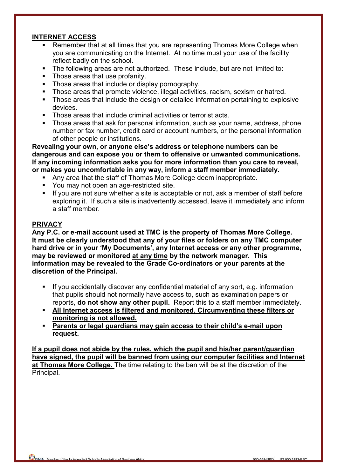#### $\overline{a}$ **INTERNET ACCESS**

- Remember that at all times that you are representing Thomas More College when you are communicating on the Internet. At no time must your use of the facility reflect badly on the school.
- The following areas are not authorized. These include, but are not limited to:
- Those areas that use profanity.
- Those areas that include or display pornography.<br>Those areas that promote violence, illegal activities
- Those areas that promote violence, illegal activities, racism, sexism or hatred.
- **Those areas that include the design or detailed information pertaining to explosive** devices.
- Those areas that include criminal activities or terrorist acts.
- **Those areas that ask for personal information, such as your name, address, phone** number or fax number, credit card or account numbers, or the personal information of other people or institutions.

**Revealing your own, or anyone else's address or telephone numbers can be dangerous and can expose you or them to offensive or unwanted communications. If any incoming information asks you for more information than you care to reveal, or makes you uncomfortable in any way, inform a staff member immediately.**

- Any area that the staff of Thomas More College deem inappropriate.
- You may not open an age-restricted site.
- If you are not sure whether a site is acceptable or not, ask a member of staff before exploring it. If such a site is inadvertently accessed, leave it immediately and inform a staff member.

### **PRIVACY**

**Any P.C. or e-mail account used at TMC is the property of Thomas More College. It must be clearly understood that any of your files or folders on any TMC computer hard drive or in your 'My Documents', any Internet access or any other programme, may be reviewed or monitored at any time by the network manager. This information may be revealed to the Grade Co-ordinators or your parents at the discretion of the Principal.**

- **If you accidentally discover any confidential material of any sort, e.g. information** that pupils should not normally have access to, such as examination papers or reports, **do not show any other pupil.** Report this to a staff member immediately.
- **All Internet access is filtered and monitored. Circumventing these filters or monitoring is not allowed.**
- **Parents or legal guardians may gain access to their child's e-mail upon request.**

**If a pupil does not abide by the rules, which the pupil and his/her parent/guardian have signed, the pupil will be banned from using our computer facilities and Internet at Thomas More College.** The time relating to the ban will be at the discretion of the Principal.